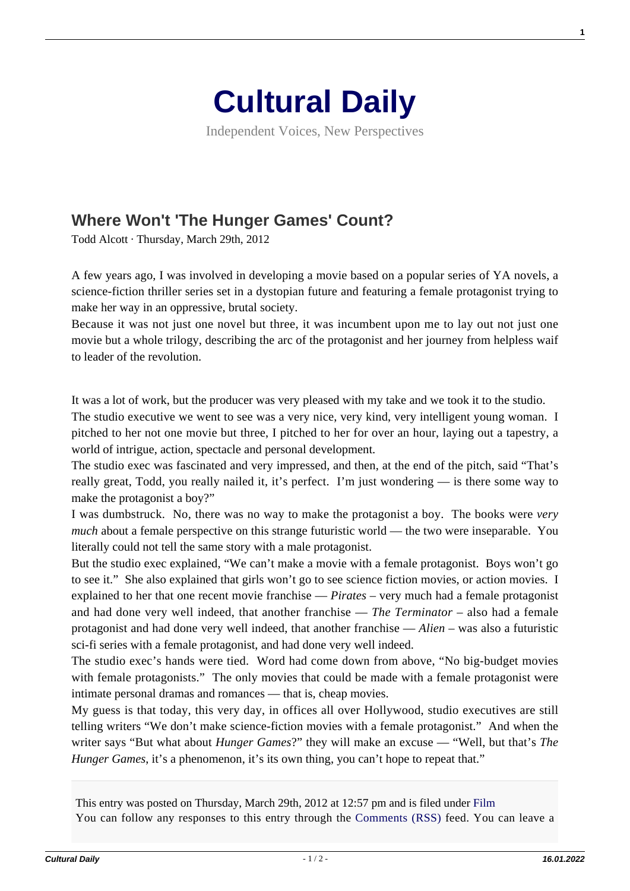

Independent Voices, New Perspectives

## **[Where Won't 'The Hunger Games' Count?](https://culturaldaily.com/where-wont-the-hunger-games-wont-count/)**

Todd Alcott · Thursday, March 29th, 2012

A few years ago, I was involved in developing a movie based on a popular series of YA novels, a science-fiction thriller series set in a dystopian future and featuring a female protagonist trying to make her way in an oppressive, brutal society.

Because it was not just one novel but three, it was incumbent upon me to lay out not just one movie but a whole trilogy, describing the arc of the protagonist and her journey from helpless waif to leader of the revolution.

It was a lot of work, but the producer was very pleased with my take and we took it to the studio.

The studio executive we went to see was a very nice, very kind, very intelligent young woman. I pitched to her not one movie but three, I pitched to her for over an hour, laying out a tapestry, a world of intrigue, action, spectacle and personal development.

The studio exec was fascinated and very impressed, and then, at the end of the pitch, said "That's really great, Todd, you really nailed it, it's perfect. I'm just wondering — is there some way to make the protagonist a boy?"

I was dumbstruck. No, there was no way to make the protagonist a boy. The books were *very much* about a female perspective on this strange futuristic world — the two were inseparable. You literally could not tell the same story with a male protagonist.

But the studio exec explained, "We can't make a movie with a female protagonist. Boys won't go to see it." She also explained that girls won't go to see science fiction movies, or action movies. I explained to her that one recent movie franchise — *Pirates* – very much had a female protagonist and had done very well indeed, that another franchise — *The Terminator* – also had a female protagonist and had done very well indeed, that another franchise — *Alien* – was also a futuristic sci-fi series with a female protagonist, and had done very well indeed.

The studio exec's hands were tied. Word had come down from above, "No big-budget movies with female protagonists." The only movies that could be made with a female protagonist were intimate personal dramas and romances — that is, cheap movies.

My guess is that today, this very day, in offices all over Hollywood, studio executives are still telling writers "We don't make science-fiction movies with a female protagonist." And when the writer says "But what about *Hunger Games*?" they will make an excuse — "Well, but that's *The Hunger Games, it's a phenomenon, it's its own thing, you can't hope to repeat that."* 

This entry was posted on Thursday, March 29th, 2012 at 12:57 pm and is filed under [Film](https://culturaldaily.com/category/media/film-video/) You can follow any responses to this entry through the [Comments \(RSS\)](https://culturaldaily.com/comments/feed/) feed. You can leave a **1**